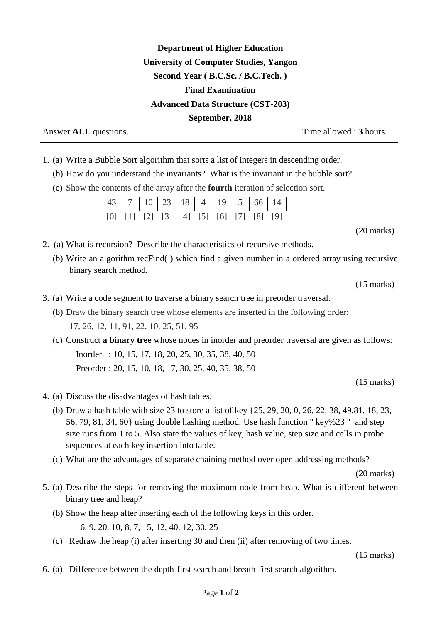## **Department of Higher Education University of Computer Studies, Yangon Second Year ( B.C.Sc. / B.C.Tech. ) Final Examination Advanced Data Structure (CST-203) September, 2018**

Answer **ALL** questions. Time allowed : **3** hours.

- 1. (a) Write a Bubble Sort algorithm that sorts a list of integers in descending order.
	- (b) How do you understand the invariants? What is the invariant in the bubble sort?
	- (c) Show the contents of the array after the **fourth** iteration of selection sort.

| 43 7 10 23 18 4 19 5 66 14                                  |  |  |  |  |  |
|-------------------------------------------------------------|--|--|--|--|--|
| $[0]$ $[1]$ $[2]$ $[3]$ $[4]$ $[5]$ $[6]$ $[7]$ $[8]$ $[9]$ |  |  |  |  |  |

(20 marks)

- 2. (a) What is recursion? Describe the characteristics of recursive methods.
	- (b) Write an algorithm recFind( ) which find a given number in a ordered array using recursive binary search method.

(15 marks)

- 3. (a) Write a code segment to traverse a binary search tree in preorder traversal.
	- (b) Draw the binary search tree whose elements are inserted in the following order: 17, 26, 12, 11, 91, 22, 10, 25, 51, 95
	- (c) Construct **a binary tree** whose nodes in inorder and preorder traversal are given as follows: Inorder : 10, 15, 17, 18, 20, 25, 30, 35, 38, 40, 50 Preorder : 20, 15, 10, 18, 17, 30, 25, 40, 35, 38, 50

(15 marks)

- 4. (a) Discuss the disadvantages of hash tables.
	- (b) Draw a hash table with size 23 to store a list of key {25, 29, 20, 0, 26, 22, 38, 49,81, 18, 23, 56, 79, 81, 34, 60} using double hashing method. Use hash function " key%23 " and step size runs from 1 to 5. Also state the values of key, hash value, step size and cells in probe sequences at each key insertion into table.
	- (c) What are the advantages of separate chaining method over open addressing methods?

(20 marks)

- 5. (a) Describe the steps for removing the maximum node from heap. What is different between binary tree and heap?
	- (b) Show the heap after inserting each of the following keys in this order. 6, 9, 20, 10, 8, 7, 15, 12, 40, 12, 30, 25
	- (c) Redraw the heap (i) after inserting 30 and then (ii) after removing of two times.

(15 marks)

6. (a) Difference between the depth-first search and breath-first search algorithm.